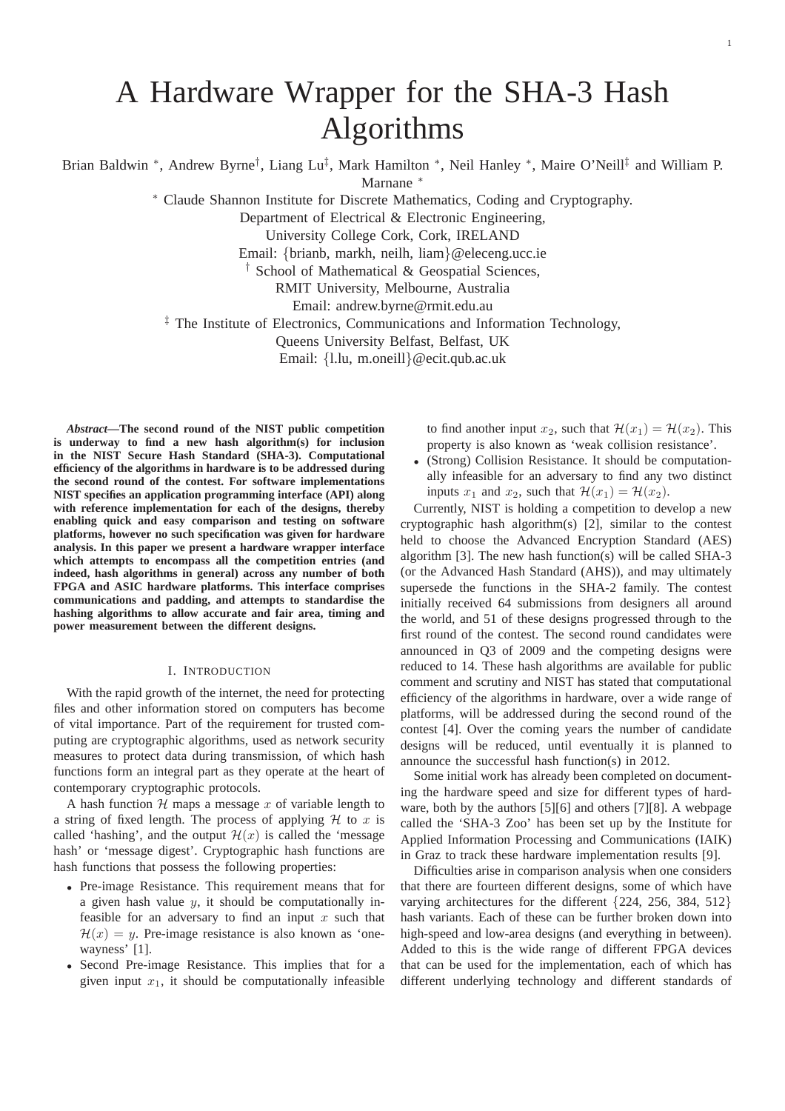# A Hardware Wrapper for the SHA-3 Hash Algorithms

Brian Baldwin \*, Andrew Byrne<sup>†</sup>, Liang Lu‡, Mark Hamilton \*, Neil Hanley \*, Maire O'Neill‡ and William P. Marnane <sup>∗</sup>

<sup>∗</sup> Claude Shannon Institute for Discrete Mathematics, Coding and Cryptography.

Department of Electrical & Electronic Engineering,

University College Cork, Cork, IRELAND

Email: {brianb, markh, neilh, liam}@eleceng.ucc.ie

† School of Mathematical & Geospatial Sciences,

RMIT University, Melbourne, Australia

Email: andrew.byrne@rmit.edu.au

<sup>‡</sup> The Institute of Electronics, Communications and Information Technology,

Queens University Belfast, Belfast, UK

Email: {l.lu, m.oneill}@ecit.qub.ac.uk

*Abstract***—The second round of the NIST public competition is underway to find a new hash algorithm(s) for inclusion in the NIST Secure Hash Standard (SHA-3). Computational efficiency of the algorithms in hardware is to be addressed during the second round of the contest. For software implementations NIST specifies an application programming interface (API) along with reference implementation for each of the designs, thereby enabling quick and easy comparison and testing on software platforms, however no such specification was given for hardware analysis. In this paper we present a hardware wrapper interface which attempts to encompass all the competition entries (and indeed, hash algorithms in general) across any number of both FPGA and ASIC hardware platforms. This interface comprises communications and padding, and attempts to standardise the hashing algorithms to allow accurate and fair area, timing and power measurement between the different designs.**

## I. INTRODUCTION

With the rapid growth of the internet, the need for protecting files and other information stored on computers has become of vital importance. Part of the requirement for trusted computing are cryptographic algorithms, used as network security measures to protect data during transmission, of which hash functions form an integral part as they operate at the heart of contemporary cryptographic protocols.

A hash function  $H$  maps a message x of variable length to a string of fixed length. The process of applying  $H$  to x is called 'hashing', and the output  $\mathcal{H}(x)$  is called the 'message' hash' or 'message digest'. Cryptographic hash functions are hash functions that possess the following properties:

- Pre-image Resistance. This requirement means that for a given hash value  $y$ , it should be computationally infeasible for an adversary to find an input  $x$  such that  $\mathcal{H}(x) = y$ . Pre-image resistance is also known as 'onewayness' [1].
- Second Pre-image Resistance. This implies that for a given input  $x_1$ , it should be computationally infeasible

to find another input  $x_2$ , such that  $\mathcal{H}(x_1) = \mathcal{H}(x_2)$ . This property is also known as 'weak collision resistance'.

• (Strong) Collision Resistance. It should be computationally infeasible for an adversary to find any two distinct inputs  $x_1$  and  $x_2$ , such that  $\mathcal{H}(x_1) = \mathcal{H}(x_2)$ .

Currently, NIST is holding a competition to develop a new cryptographic hash algorithm(s) [2], similar to the contest held to choose the Advanced Encryption Standard (AES) algorithm [3]. The new hash function(s) will be called SHA-3 (or the Advanced Hash Standard (AHS)), and may ultimately supersede the functions in the SHA-2 family. The contest initially received 64 submissions from designers all around the world, and 51 of these designs progressed through to the first round of the contest. The second round candidates were announced in Q3 of 2009 and the competing designs were reduced to 14. These hash algorithms are available for public comment and scrutiny and NIST has stated that computational efficiency of the algorithms in hardware, over a wide range of platforms, will be addressed during the second round of the contest [4]. Over the coming years the number of candidate designs will be reduced, until eventually it is planned to announce the successful hash function(s) in 2012.

Some initial work has already been completed on documenting the hardware speed and size for different types of hardware, both by the authors [5][6] and others [7][8]. A webpage called the 'SHA-3 Zoo' has been set up by the Institute for Applied Information Processing and Communications (IAIK) in Graz to track these hardware implementation results [9].

Difficulties arise in comparison analysis when one considers that there are fourteen different designs, some of which have varying architectures for the different {224, 256, 384, 512} hash variants. Each of these can be further broken down into high-speed and low-area designs (and everything in between). Added to this is the wide range of different FPGA devices that can be used for the implementation, each of which has different underlying technology and different standards of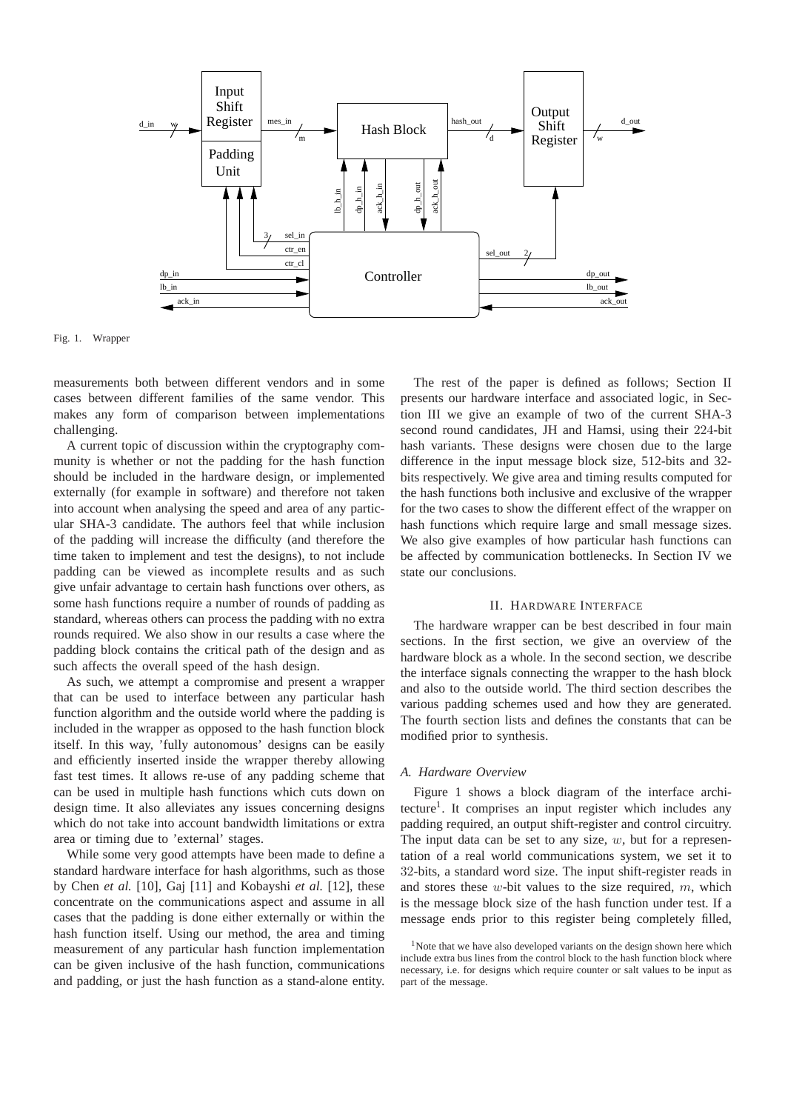

Fig. 1. Wrapper

measurements both between different vendors and in some cases between different families of the same vendor. This makes any form of comparison between implementations challenging.

A current topic of discussion within the cryptography community is whether or not the padding for the hash function should be included in the hardware design, or implemented externally (for example in software) and therefore not taken into account when analysing the speed and area of any particular SHA-3 candidate. The authors feel that while inclusion of the padding will increase the difficulty (and therefore the time taken to implement and test the designs), to not include padding can be viewed as incomplete results and as such give unfair advantage to certain hash functions over others, as some hash functions require a number of rounds of padding as standard, whereas others can process the padding with no extra rounds required. We also show in our results a case where the padding block contains the critical path of the design and as such affects the overall speed of the hash design.

As such, we attempt a compromise and present a wrapper that can be used to interface between any particular hash function algorithm and the outside world where the padding is included in the wrapper as opposed to the hash function block itself. In this way, 'fully autonomous' designs can be easily and efficiently inserted inside the wrapper thereby allowing fast test times. It allows re-use of any padding scheme that can be used in multiple hash functions which cuts down on design time. It also alleviates any issues concerning designs which do not take into account bandwidth limitations or extra area or timing due to 'external' stages.

While some very good attempts have been made to define a standard hardware interface for hash algorithms, such as those by Chen *et al.* [10], Gaj [11] and Kobayshi *et al.* [12], these concentrate on the communications aspect and assume in all cases that the padding is done either externally or within the hash function itself. Using our method, the area and timing measurement of any particular hash function implementation can be given inclusive of the hash function, communications and padding, or just the hash function as a stand-alone entity.

The rest of the paper is defined as follows; Section II presents our hardware interface and associated logic, in Section III we give an example of two of the current SHA-3 second round candidates, JH and Hamsi, using their 224-bit hash variants. These designs were chosen due to the large difference in the input message block size, 512-bits and 32 bits respectively. We give area and timing results computed for the hash functions both inclusive and exclusive of the wrapper for the two cases to show the different effect of the wrapper on hash functions which require large and small message sizes. We also give examples of how particular hash functions can be affected by communication bottlenecks. In Section IV we state our conclusions.

#### II. HARDWARE INTERFACE

The hardware wrapper can be best described in four main sections. In the first section, we give an overview of the hardware block as a whole. In the second section, we describe the interface signals connecting the wrapper to the hash block and also to the outside world. The third section describes the various padding schemes used and how they are generated. The fourth section lists and defines the constants that can be modified prior to synthesis.

#### *A. Hardware Overview*

Figure 1 shows a block diagram of the interface architecture<sup>1</sup>. It comprises an input register which includes any padding required, an output shift-register and control circuitry. The input data can be set to any size,  $w$ , but for a representation of a real world communications system, we set it to 32-bits, a standard word size. The input shift-register reads in and stores these  $w$ -bit values to the size required,  $m$ , which is the message block size of the hash function under test. If a message ends prior to this register being completely filled,

 $1$ Note that we have also developed variants on the design shown here which include extra bus lines from the control block to the hash function block where necessary, i.e. for designs which require counter or salt values to be input as part of the message.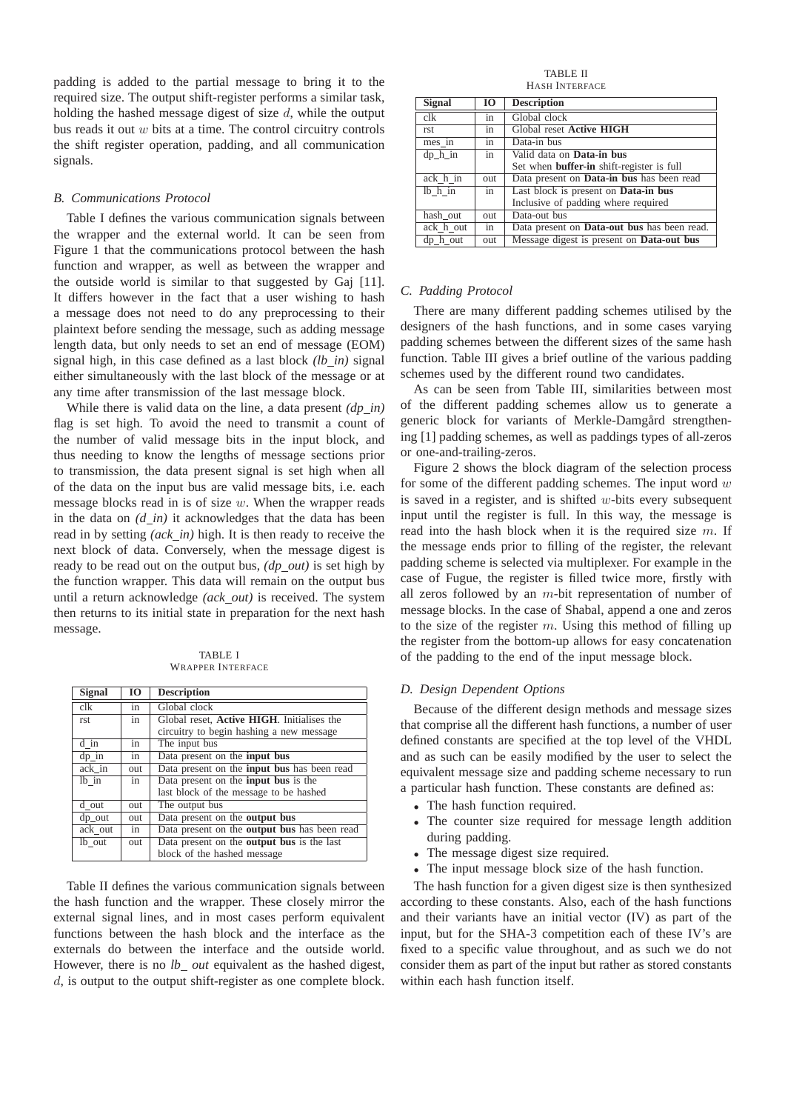padding is added to the partial message to bring it to the required size. The output shift-register performs a similar task, holding the hashed message digest of size  $d$ , while the output bus reads it out w bits at a time. The control circuitry controls the shift register operation, padding, and all communication signals.

#### *B. Communications Protocol*

Table I defines the various communication signals between the wrapper and the external world. It can be seen from Figure 1 that the communications protocol between the hash function and wrapper, as well as between the wrapper and the outside world is similar to that suggested by Gaj [11]. It differs however in the fact that a user wishing to hash a message does not need to do any preprocessing to their plaintext before sending the message, such as adding message length data, but only needs to set an end of message (EOM) signal high, in this case defined as a last block *(lb\_in)* signal either simultaneously with the last block of the message or at any time after transmission of the last message block.

While there is valid data on the line, a data present *(dp\_in)* flag is set high. To avoid the need to transmit a count of the number of valid message bits in the input block, and thus needing to know the lengths of message sections prior to transmission, the data present signal is set high when all of the data on the input bus are valid message bits, i.e. each message blocks read in is of size w. When the wrapper reads in the data on  $(d_1, in)$  it acknowledges that the data has been read in by setting *(ack\_in)* high. It is then ready to receive the next block of data. Conversely, when the message digest is ready to be read out on the output bus, *(dp out)* is set high by the function wrapper. This data will remain on the output bus until a return acknowledge *(ack out)* is received. The system then returns to its initial state in preparation for the next hash message.

TABLE I WRAPPER INTERFACE

| <b>Signal</b> | 10  | <b>Description</b>                                  |
|---------------|-----|-----------------------------------------------------|
| clk           | in  | Global clock                                        |
| rst           | in  | Global reset, Active HIGH. Initialises the          |
|               |     | circuitry to begin hashing a new message            |
| d in          | in  | The input bus                                       |
| $dp_in$       | in  | Data present on the <b>input bus</b>                |
| ack in        | out | Data present on the <b>input bus</b> has been read  |
| lb in         | in  | Data present on the <b>input bus</b> is the         |
|               |     | last block of the message to be hashed              |
| d out         | out | The output bus                                      |
| dp out        | out | Data present on the <b>output</b> bus               |
| ack out       | in  | Data present on the <b>output</b> bus has been read |
| lb out        | out | Data present on the <b>output</b> bus is the last   |
|               |     | block of the hashed message                         |

Table II defines the various communication signals between the hash function and the wrapper. These closely mirror the external signal lines, and in most cases perform equivalent functions between the hash block and the interface as the externals do between the interface and the outside world. However, there is no *lb\_out* equivalent as the hashed digest, d, is output to the output shift-register as one complete block.

TABLE II HASH INTERFACE

| <b>Signal</b> | 10  | <b>Description</b>                               |
|---------------|-----|--------------------------------------------------|
| clk           | in  | Global clock                                     |
| rst           | in  | Global reset Active HIGH                         |
| mes in        | in  | Data-in bus                                      |
| $dp$ h in     | in  | Valid data on <b>Data-in bus</b>                 |
|               |     | Set when <b>buffer-in</b> shift-register is full |
| ack h in      | out | Data present on <b>Data-in bus</b> has been read |
| lb h in       | in  | Last block is present on Data-in bus             |
|               |     | Inclusive of padding where required              |
| hash out      | out | Data-out bus                                     |
| ack h out     | in  | Data present on Data-out bus has been read.      |
| dp h out      | out | Message digest is present on Data-out bus        |

#### *C. Padding Protocol*

There are many different padding schemes utilised by the designers of the hash functions, and in some cases varying padding schemes between the different sizes of the same hash function. Table III gives a brief outline of the various padding schemes used by the different round two candidates.

As can be seen from Table III, similarities between most of the different padding schemes allow us to generate a generic block for variants of Merkle-Damgård strengthening [1] padding schemes, as well as paddings types of all-zeros or one-and-trailing-zeros.

Figure 2 shows the block diagram of the selection process for some of the different padding schemes. The input word  $w$ is saved in a register, and is shifted  $w$ -bits every subsequent input until the register is full. In this way, the message is read into the hash block when it is the required size  $m$ . If the message ends prior to filling of the register, the relevant padding scheme is selected via multiplexer. For example in the case of Fugue, the register is filled twice more, firstly with all zeros followed by an  $m$ -bit representation of number of message blocks. In the case of Shabal, append a one and zeros to the size of the register  $m$ . Using this method of filling up the register from the bottom-up allows for easy concatenation of the padding to the end of the input message block.

#### *D. Design Dependent Options*

Because of the different design methods and message sizes that comprise all the different hash functions, a number of user defined constants are specified at the top level of the VHDL and as such can be easily modified by the user to select the equivalent message size and padding scheme necessary to run a particular hash function. These constants are defined as:

- The hash function required.
- The counter size required for message length addition during padding.
- The message digest size required.
- The input message block size of the hash function.

The hash function for a given digest size is then synthesized according to these constants. Also, each of the hash functions and their variants have an initial vector (IV) as part of the input, but for the SHA-3 competition each of these IV's are fixed to a specific value throughout, and as such we do not consider them as part of the input but rather as stored constants within each hash function itself.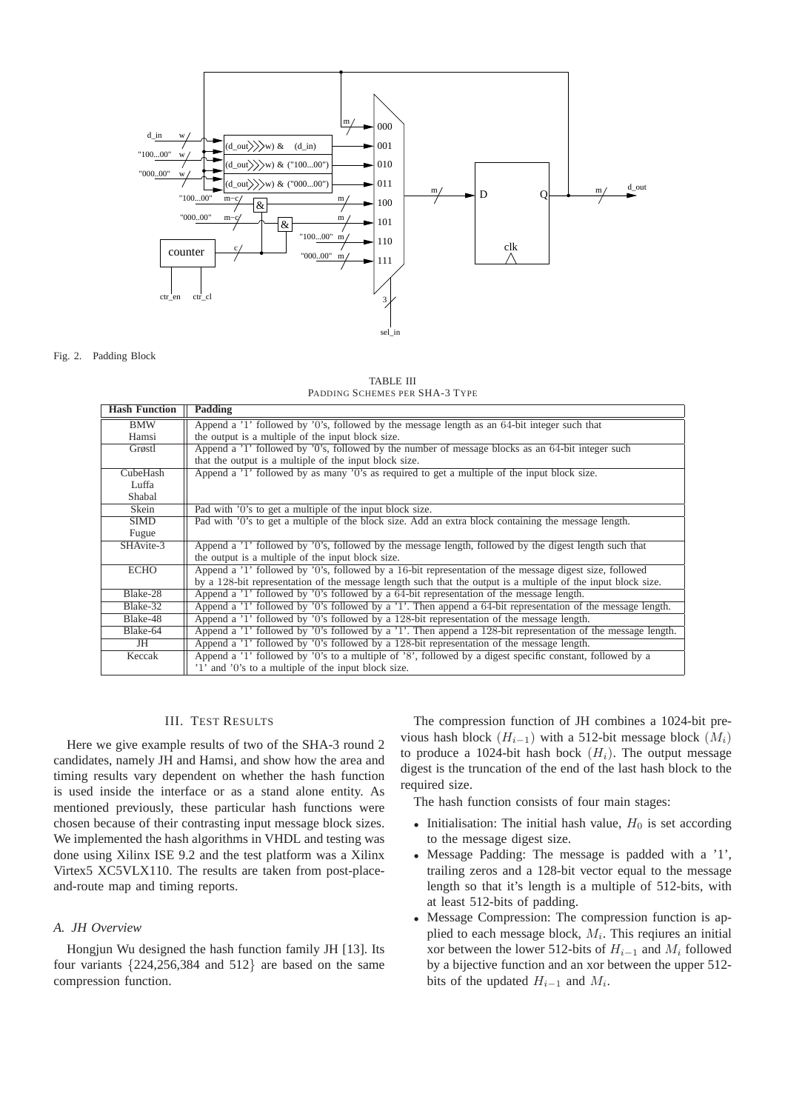

Fig. 2. Padding Block

TABLE III PADDING SCHEMES PER SHA-3 TYPE

| <b>Hash Function</b> | Padding                                                                                                       |  |  |  |
|----------------------|---------------------------------------------------------------------------------------------------------------|--|--|--|
| BMW                  | Append a $1$ followed by $0$ 's, followed by the message length as an 64-bit integer such that                |  |  |  |
| Hamsi                | the output is a multiple of the input block size.                                                             |  |  |  |
| Grøstl               | Append a '1' followed by '0's, followed by the number of message blocks as an 64-bit integer such             |  |  |  |
|                      | that the output is a multiple of the input block size.                                                        |  |  |  |
| CubeHash             | Append a '1' followed by as many '0's as required to get a multiple of the input block size.                  |  |  |  |
| Luffa                |                                                                                                               |  |  |  |
| Shabal               |                                                                                                               |  |  |  |
| Skein                | Pad with '0's to get a multiple of the input block size.                                                      |  |  |  |
| SIMD                 | Pad with '0's to get a multiple of the block size. Add an extra block containing the message length.          |  |  |  |
| Fugue                |                                                                                                               |  |  |  |
| SHAvite-3            | Append a '1' followed by '0's, followed by the message length, followed by the digest length such that        |  |  |  |
|                      | the output is a multiple of the input block size.                                                             |  |  |  |
| <b>ECHO</b>          | Append a '1' followed by '0's, followed by a 16-bit representation of the message digest size, followed       |  |  |  |
|                      | by a 128-bit representation of the message length such that the output is a multiple of the input block size. |  |  |  |
| Blake-28             | Append a '1' followed by '0's followed by a 64-bit representation of the message length.                      |  |  |  |
| Blake-32             | Append a '1' followed by '0's followed by a '1'. Then append a 64-bit representation of the message length.   |  |  |  |
| Blake-48             | Append a '1' followed by '0's followed by a 128-bit representation of the message length.                     |  |  |  |
| Blake-64             | Append a '1' followed by '0's followed by a '1'. Then append a 128-bit representation of the message length.  |  |  |  |
| JH                   | Append a '1' followed by '0's followed by a 128-bit representation of the message length.                     |  |  |  |
| Keccak               | Append a '1' followed by '0's to a multiple of '8', followed by a digest specific constant, followed by a     |  |  |  |
|                      | '1' and '0's to a multiple of the input block size.                                                           |  |  |  |

#### III. TEST RESULTS

Here we give example results of two of the SHA-3 round 2 candidates, namely JH and Hamsi, and show how the area and timing results vary dependent on whether the hash function is used inside the interface or as a stand alone entity. As mentioned previously, these particular hash functions were chosen because of their contrasting input message block sizes. We implemented the hash algorithms in VHDL and testing was done using Xilinx ISE 9.2 and the test platform was a Xilinx Virtex5 XC5VLX110. The results are taken from post-placeand-route map and timing reports.

## *A. JH Overview*

Hongjun Wu designed the hash function family JH [13]. Its four variants {224,256,384 and 512} are based on the same compression function.

The compression function of JH combines a 1024-bit previous hash block  $(H_{i-1})$  with a 512-bit message block  $(M_i)$ to produce a 1024-bit hash bock  $(H_i)$ . The output message digest is the truncation of the end of the last hash block to the required size.

The hash function consists of four main stages:

- Initialisation: The initial hash value,  $H_0$  is set according to the message digest size.
- Message Padding: The message is padded with a '1', trailing zeros and a 128-bit vector equal to the message length so that it's length is a multiple of 512-bits, with at least 512-bits of padding.
- Message Compression: The compression function is applied to each message block,  $M_i$ . This reqiures an initial xor between the lower 512-bits of  $H_{i-1}$  and  $M_i$  followed by a bijective function and an xor between the upper 512 bits of the updated  $H_{i-1}$  and  $M_i$ .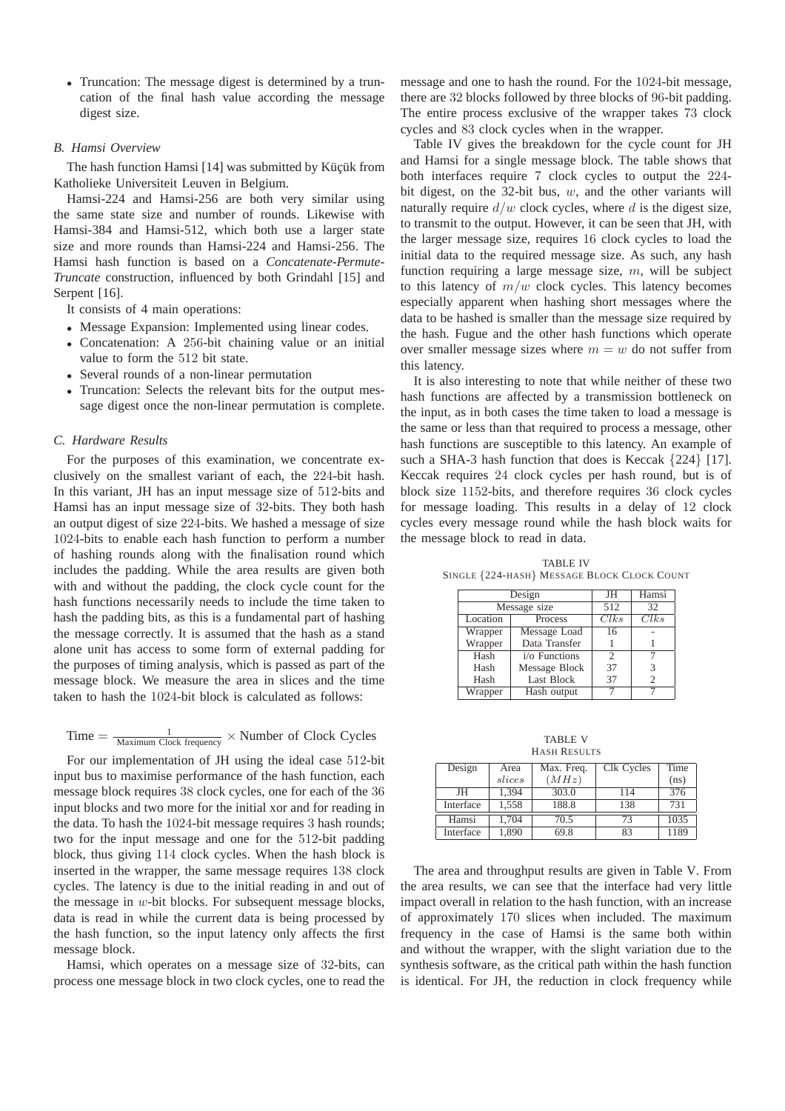• Truncation: The message digest is determined by a truncation of the final hash value according the message digest size.

#### *B. Hamsi Overview*

The hash function Hamsi  $[14]$  was submitted by Küçük from Katholieke Universiteit Leuven in Belgium.

Hamsi-224 and Hamsi-256 are both very similar using the same state size and number of rounds. Likewise with Hamsi-384 and Hamsi-512, which both use a larger state size and more rounds than Hamsi-224 and Hamsi-256. The Hamsi hash function is based on a *Concatenate-Permute-Truncate* construction, influenced by both Grindahl [15] and Serpent [16].

It consists of 4 main operations:

- Message Expansion: Implemented using linear codes.
- Concatenation: A 256-bit chaining value or an initial value to form the 512 bit state.
- Several rounds of a non-linear permutation
- Truncation: Selects the relevant bits for the output message digest once the non-linear permutation is complete.

#### *C. Hardware Results*

For the purposes of this examination, we concentrate exclusively on the smallest variant of each, the 224-bit hash. In this variant, JH has an input message size of 512-bits and Hamsi has an input message size of 32-bits. They both hash an output digest of size 224-bits. We hashed a message of size 1024-bits to enable each hash function to perform a number of hashing rounds along with the finalisation round which includes the padding. While the area results are given both with and without the padding, the clock cycle count for the hash functions necessarily needs to include the time taken to hash the padding bits, as this is a fundamental part of hashing the message correctly. It is assumed that the hash as a stand alone unit has access to some form of external padding for the purposes of timing analysis, which is passed as part of the message block. We measure the area in slices and the time taken to hash the 1024-bit block is calculated as follows:

# Time  $=\frac{1}{\text{Maximum Clock frequency}} \times \text{Number of Clock Cycles}$

For our implementation of JH using the ideal case 512-bit input bus to maximise performance of the hash function, each message block requires 38 clock cycles, one for each of the 36 input blocks and two more for the initial xor and for reading in the data. To hash the 1024-bit message requires 3 hash rounds; two for the input message and one for the 512-bit padding block, thus giving 114 clock cycles. When the hash block is inserted in the wrapper, the same message requires 138 clock cycles. The latency is due to the initial reading in and out of the message in  $w$ -bit blocks. For subsequent message blocks, data is read in while the current data is being processed by the hash function, so the input latency only affects the first message block.

Hamsi, which operates on a message size of 32-bits, can process one message block in two clock cycles, one to read the message and one to hash the round. For the 1024-bit message, there are 32 blocks followed by three blocks of 96-bit padding. The entire process exclusive of the wrapper takes 73 clock cycles and 83 clock cycles when in the wrapper.

Table IV gives the breakdown for the cycle count for JH and Hamsi for a single message block. The table shows that both interfaces require 7 clock cycles to output the 224 bit digest, on the 32-bit bus,  $w$ , and the other variants will naturally require  $d/w$  clock cycles, where d is the digest size, to transmit to the output. However, it can be seen that JH, with the larger message size, requires 16 clock cycles to load the initial data to the required message size. As such, any hash function requiring a large message size,  $m$ , will be subject to this latency of  $m/w$  clock cycles. This latency becomes especially apparent when hashing short messages where the data to be hashed is smaller than the message size required by the hash. Fugue and the other hash functions which operate over smaller message sizes where  $m = w$  do not suffer from this latency.

It is also interesting to note that while neither of these two hash functions are affected by a transmission bottleneck on the input, as in both cases the time taken to load a message is the same or less than that required to process a message, other hash functions are susceptible to this latency. An example of such a SHA-3 hash function that does is Keccak  $\{224\}$  [17]. Keccak requires 24 clock cycles per hash round, but is of block size 1152-bits, and therefore requires 36 clock cycles for message loading. This results in a delay of 12 clock cycles every message round while the hash block waits for the message block to read in data.

TABLE IV SINGLE {224-HASH} MESSAGE BLOCK CLOCK COUNT

|          | Design        | JH             | Hamsi          |
|----------|---------------|----------------|----------------|
|          | Message size  | 512            | 32             |
| Location | Process       | Clks           | Clks           |
| Wrapper  | Message Load  | 16             |                |
| Wrapper  | Data Transfer |                |                |
| Hash     | i/o Functions | $\mathfrak{D}$ |                |
| Hash     | Message Block | 37             | 3              |
| Hash     | Last Block    | 37             | $\overline{c}$ |
| Wrapper  | Hash output   |                |                |

TABLE V HASH RESULTS

| Design    | Area   | Max. Freq. | Clk Cycles | Time |
|-----------|--------|------------|------------|------|
|           | slices | (MHz)      |            | (ns) |
| JH        | 1.394  | 303.0      | 114        | 376  |
| Interface | 1,558  | 188.8      | 138        | 731  |
| Hamsi     | 1.704  | 70.5       | 73         | 1035 |
| Interface | 1,890  | 69.8       | 83         | 1189 |

The area and throughput results are given in Table V. From the area results, we can see that the interface had very little impact overall in relation to the hash function, with an increase of approximately 170 slices when included. The maximum frequency in the case of Hamsi is the same both within and without the wrapper, with the slight variation due to the synthesis software, as the critical path within the hash function is identical. For JH, the reduction in clock frequency while